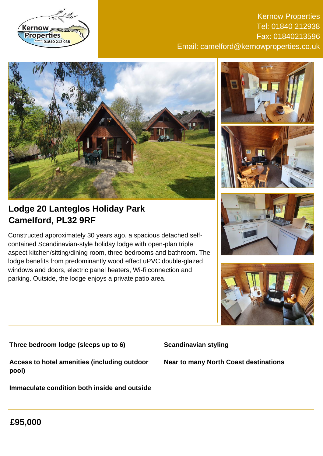

Kernow Properties Tel: 01840 212938 Fax: 01840213596 Email: camelford@kernowproperties.co.uk



**Lodge 20 Lanteglos Holiday Park Camelford, PL32 9RF**

Constructed approximately 30 years ago, a spacious detached selfcontained Scandinavian-style holiday lodge with open-plan triple aspect kitchen/sitting/dining room, three bedrooms and bathroom. The lodge benefits from predominantly wood effect uPVC double-glazed windows and doors, electric panel heaters, Wi-fi connection and parking. Outside, the lodge enjoys a private patio area.









**Three bedroom lodge (sleeps up to 6)**

**Scandinavian styling**

**Access to hotel amenities (including outdoor pool)**

**Immaculate condition both inside and outside**

**Near to many North Coast destinations**